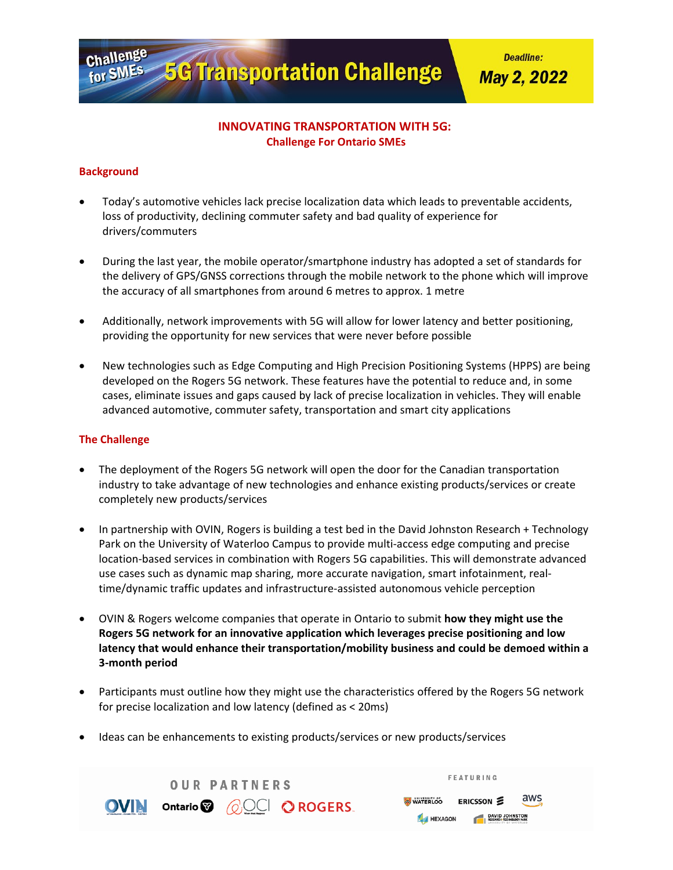**5G Transportation Challenge** 

**Deadline:** 

**May 2, 2022** 

# **INNOVATING TRANSPORTATION WITH 5G: Challenge For Ontario SMEs**

## **Background**

Challenge

for SMES

- Today's automotive vehicles lack precise localization data which leads to preventable accidents, loss of productivity, declining commuter safety and bad quality of experience for drivers/commuters
- During the last year, the mobile operator/smartphone industry has adopted a set of standards for the delivery of GPS/GNSS corrections through the mobile network to the phone which will improve the accuracy of all smartphones from around 6 metres to approx. 1 metre
- Additionally, network improvements with 5G will allow for lower latency and better positioning, providing the opportunity for new services that were never before possible
- New technologies such as Edge Computing and High Precision Positioning Systems (HPPS) are being developed on the Rogers 5G network. These features have the potential to reduce and, in some cases, eliminate issues and gaps caused by lack of precise localization in vehicles. They will enable advanced automotive, commuter safety, transportation and smart city applications

## **The Challenge**

- The deployment of the Rogers 5G network will open the door for the Canadian transportation industry to take advantage of new technologies and enhance existing products/services or create completely new products/services
- In partnership with OVIN, Rogers is building a test bed in the David Johnston Research + Technology Park on the University of Waterloo Campus to provide multi-access edge computing and precise location-based services in combination with Rogers 5G capabilities. This will demonstrate advanced use cases such as dynamic map sharing, more accurate navigation, smart infotainment, realtime/dynamic traffic updates and infrastructure-assisted autonomous vehicle perception
- OVIN & Rogers welcome companies that operate in Ontario to submit **how they might use the Rogers 5G network for an innovative application which leverages precise positioning and low latency that would enhance their transportation/mobility business and could be demoed within a 3-month period**
- Participants must outline how they might use the characteristics offered by the Rogers 5G network for precise localization and low latency (defined as < 20ms)
- Ideas can be enhancements to existing products/services or new products/services

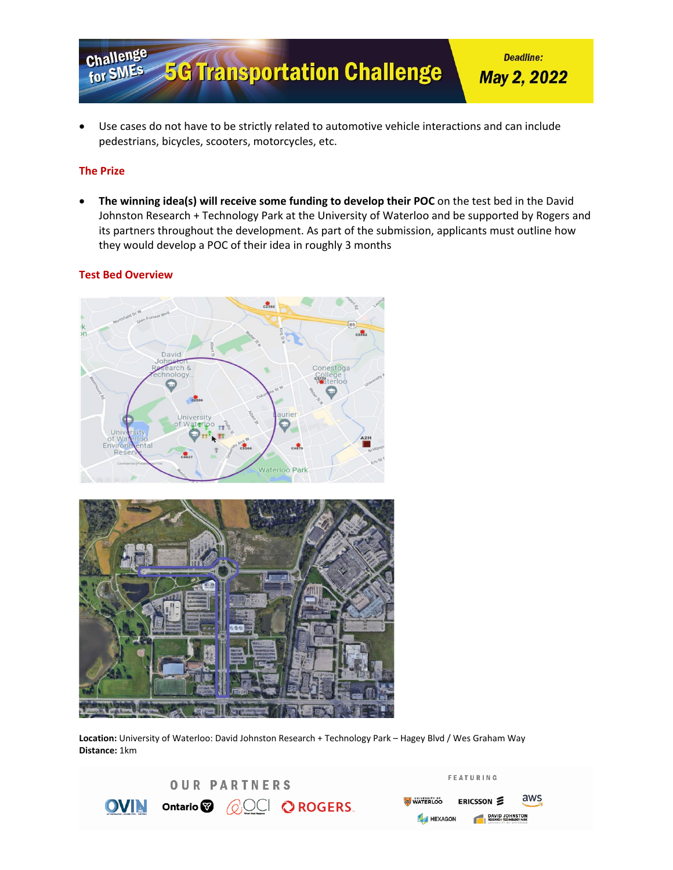

• Use cases do not have to be strictly related to automotive vehicle interactions and can include pedestrians, bicycles, scooters, motorcycles, etc.

### **The Prize**

• **The winning idea(s) will receive some funding to develop their POC** on the test bed in the David Johnston Research + Technology Park at the University of Waterloo and be supported by Rogers and its partners throughout the development. As part of the submission, applicants must outline how they would develop a POC of their idea in roughly 3 months

#### **Test Bed Overview**





**Location:** University of Waterloo: David Johnston Research + Technology Park – Hagey Blvd / Wes Graham Way **Distance:** 1km

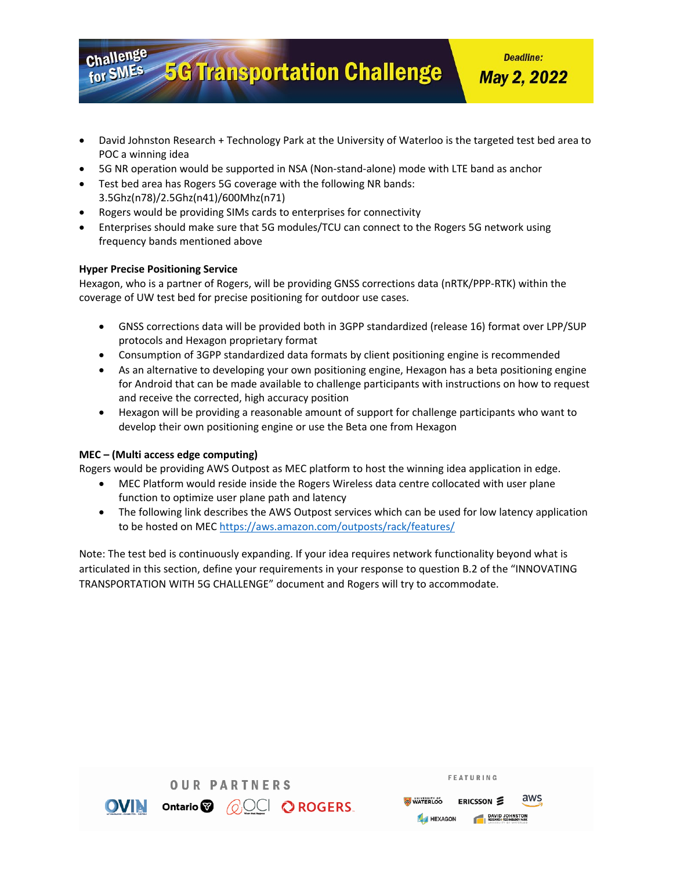**Deadline:** 

**May 2, 2022** 

- David Johnston Research + Technology Park at the University of Waterloo is the targeted test bed area to POC a winning idea
- 5G NR operation would be supported in NSA (Non-stand-alone) mode with LTE band as anchor

**5G Transportation Challenge** 

- Test bed area has Rogers 5G coverage with the following NR bands: 3.5Ghz(n78)/2.5Ghz(n41)/600Mhz(n71)
- Rogers would be providing SIMs cards to enterprises for connectivity
- Enterprises should make sure that 5G modules/TCU can connect to the Rogers 5G network using frequency bands mentioned above

#### **Hyper Precise Positioning Service**

Challenge

for SMEs

Hexagon, who is a partner of Rogers, will be providing GNSS corrections data (nRTK/PPP-RTK) within the coverage of UW test bed for precise positioning for outdoor use cases.

- GNSS corrections data will be provided both in 3GPP standardized (release 16) format over LPP/SUP protocols and Hexagon proprietary format
- Consumption of 3GPP standardized data formats by client positioning engine is recommended
- As an alternative to developing your own positioning engine, Hexagon has a beta positioning engine for Android that can be made available to challenge participants with instructions on how to request and receive the corrected, high accuracy position
- Hexagon will be providing a reasonable amount of support for challenge participants who want to develop their own positioning engine or use the Beta one from Hexagon

#### **MEC – (Multi access edge computing)**

Rogers would be providing AWS Outpost as MEC platform to host the winning idea application in edge.

- MEC Platform would reside inside the Rogers Wireless data centre collocated with user plane function to optimize user plane path and latency
- The following link describes the AWS Outpost services which can be used for low latency application to be hosted on MEC <https://aws.amazon.com/outposts/rack/features/>

Note: The test bed is continuously expanding. If your idea requires network functionality beyond what is articulated in this section, define your requirements in your response to question B.2 of the "INNOVATING TRANSPORTATION WITH 5G CHALLENGE" document and Rogers will try to accommodate.



|                 | FEATURING                                         |     |
|-----------------|---------------------------------------------------|-----|
| <b>WATERLOO</b> | ERICSSON <b>S</b>                                 | aws |
| <b>HEXAGON</b>  | <b>DAVID JOHNSTON</b><br>RESEARCH-TECHNOLOGY PARK |     |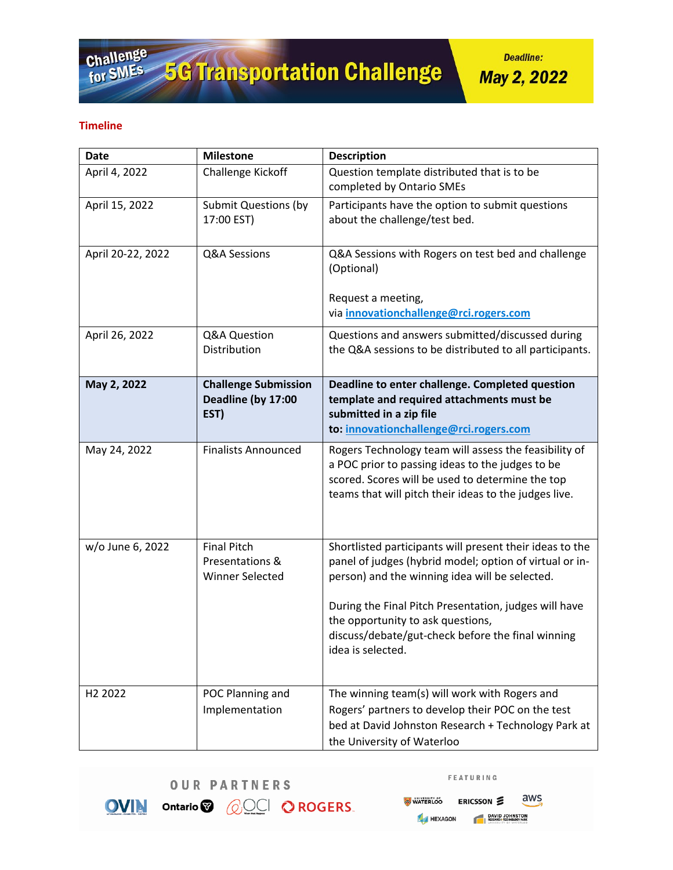**Deadline:** 

**May 2, 2022** 

## **Timeline**

| <b>Date</b>         | <b>Milestone</b>                                          | <b>Description</b>                                                                                                                                                                                                                                                                                                                            |
|---------------------|-----------------------------------------------------------|-----------------------------------------------------------------------------------------------------------------------------------------------------------------------------------------------------------------------------------------------------------------------------------------------------------------------------------------------|
| April 4, 2022       | Challenge Kickoff                                         | Question template distributed that is to be<br>completed by Ontario SMEs                                                                                                                                                                                                                                                                      |
| April 15, 2022      | <b>Submit Questions (by</b><br>17:00 EST)                 | Participants have the option to submit questions<br>about the challenge/test bed.                                                                                                                                                                                                                                                             |
| April 20-22, 2022   | Q&A Sessions                                              | Q&A Sessions with Rogers on test bed and challenge<br>(Optional)<br>Request a meeting,<br>via innovationchallenge@rci.rogers.com                                                                                                                                                                                                              |
| April 26, 2022      | Q&A Question<br>Distribution                              | Questions and answers submitted/discussed during<br>the Q&A sessions to be distributed to all participants.                                                                                                                                                                                                                                   |
| May 2, 2022         | <b>Challenge Submission</b><br>Deadline (by 17:00<br>EST) | Deadline to enter challenge. Completed question<br>template and required attachments must be<br>submitted in a zip file<br>to: innovationchallenge@rci.rogers.com                                                                                                                                                                             |
| May 24, 2022        | <b>Finalists Announced</b>                                | Rogers Technology team will assess the feasibility of<br>a POC prior to passing ideas to the judges to be<br>scored. Scores will be used to determine the top<br>teams that will pitch their ideas to the judges live.                                                                                                                        |
| w/o June 6, 2022    | <b>Final Pitch</b><br>Presentations &<br>Winner Selected  | Shortlisted participants will present their ideas to the<br>panel of judges (hybrid model; option of virtual or in-<br>person) and the winning idea will be selected.<br>During the Final Pitch Presentation, judges will have<br>the opportunity to ask questions,<br>discuss/debate/gut-check before the final winning<br>idea is selected. |
| H <sub>2</sub> 2022 | POC Planning and<br>Implementation                        | The winning team(s) will work with Rogers and<br>Rogers' partners to develop their POC on the test<br>bed at David Johnston Research + Technology Park at<br>the University of Waterloo                                                                                                                                                       |



OVIN Ontario<sup>®</sup> *QOCI* OROGERS.

FEATURING

aws **WATERLOO** ERICSSON DAVID JOHNSTON HEXAGON